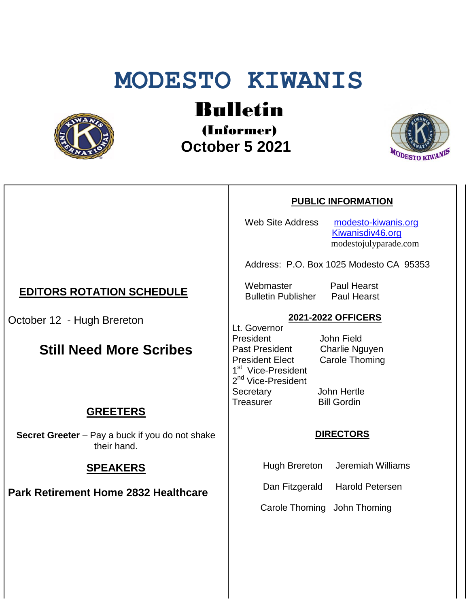# **MODESTO KIWANIS**



# Bulletin

(Informer)  **October 5 2021**



#### **PUBLIC INFORMATION**

Web Site Address [modesto-kiwanis.org](http://modesto-kiwanis.org/) [Kiwanisdiv46.org](http://www.kiwanisdiv46.org/) modestojulyparade.com

Address: P.O. Box 1025 Modesto CA 95353

 Webmaster Paul Hearst Bulletin Publisher Paul Hearst

#### **2021-2022 OFFICERS**

Lt. Governor President John Field Past President Charlie Nguyen President Elect Carole Thoming 1<sup>st</sup> Vice-President 2<sup>nd</sup> Vice-President Secretary John Hertle Treasurer Bill Gordin

#### **DIRECTORS**

Hugh Brereton Jeremiah Williams

Dan Fitzgerald Harold Petersen

Carole Thoming John Thoming

## **EDITORS ROTATION SCHEDULE**

October 12 - Hugh Brereton

# **Still Need More Scribes**

### **GREETERS**

**Secret Greeter** – Pay a buck if you do not shake their hand.

### **SPEAKERS**

**Park Retirement Home 2832 Healthcare**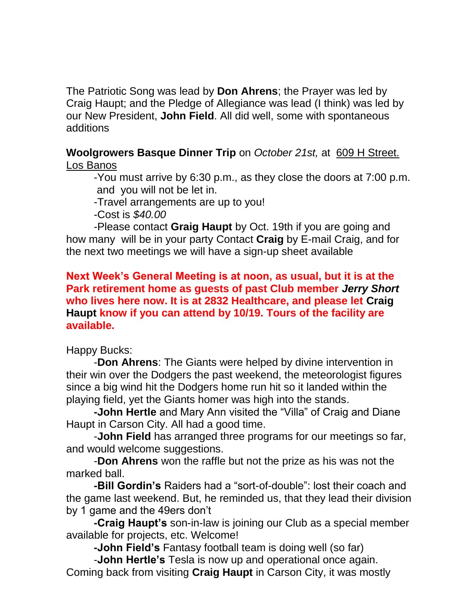The Patriotic Song was lead by **Don Ahrens**; the Prayer was led by Craig Haupt; and the Pledge of Allegiance was lead (I think) was led by our New President, **John Field**. All did well, some with spontaneous additions

**Woolgrowers Basque Dinner Trip** on *October 21st,* at 609 H Street. Los Banos

-You must arrive by 6:30 p.m., as they close the doors at 7:00 p.m. and you will not be let in.

-Travel arrangements are up to you!

-Cost is *\$40.00*

-Please contact **Graig Haupt** by Oct. 19th if you are going and how many will be in your party Contact **Craig** by E-mail Craig, and for the next two meetings we will have a sign-up sheet available

### **Next Week's General Meeting is at noon, as usual, but it is at the Park retirement home as guests of past Club member** *Jerry Short* **who lives here now. It is at 2832 Healthcare, and please let Craig Haupt know if you can attend by 10/19. Tours of the facility are available.**

Happy Bucks:

-**Don Ahrens**: The Giants were helped by divine intervention in their win over the Dodgers the past weekend, the meteorologist figures since a big wind hit the Dodgers home run hit so it landed within the playing field, yet the Giants homer was high into the stands.

**-John Hertle** and Mary Ann visited the "Villa" of Craig and Diane Haupt in Carson City. All had a good time.

-**John Field** has arranged three programs for our meetings so far, and would welcome suggestions.

-**Don Ahrens** won the raffle but not the prize as his was not the marked ball.

**-Bill Gordin's** Raiders had a "sort-of-double": lost their coach and the game last weekend. But, he reminded us, that they lead their division by 1 game and the 49ers don't

**-Craig Haupt's** son-in-law is joining our Club as a special member available for projects, etc. Welcome!

**-John Field's** Fantasy football team is doing well (so far)

-**John Hertle's** Tesla is now up and operational once again. Coming back from visiting **Craig Haupt** in Carson City, it was mostly